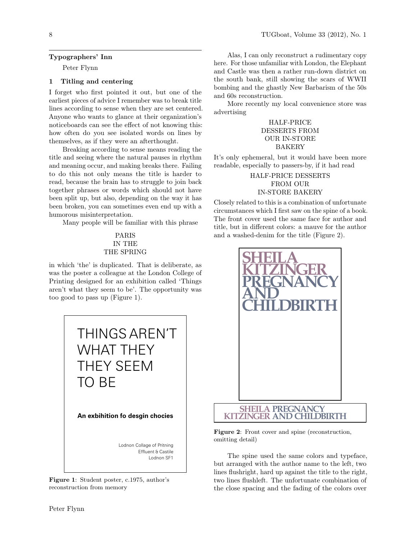### Typographers' Inn

Peter Flynn

## 1 Titling and centering

I forget who first pointed it out, but one of the earliest pieces of advice I remember was to break title lines according to sense when they are set centered. Anyone who wants to glance at their organization's noticeboards can see the effect of not knowing this: how often do you see isolated words on lines by themselves, as if they were an afterthought.

Breaking according to sense means reading the title and seeing where the natural pauses in rhythm and meaning occur, and making breaks there. Failing to do this not only means the title is harder to read, because the brain has to struggle to join back together phrases or words which should not have been split up, but also, depending on the way it has been broken, you can sometimes even end up with a humorous misinterpretation.

Many people will be familiar with this phrase

# PARIS IN THE THE SPRING

in which 'the' is duplicated. That is deliberate, as was the poster a colleague at the London College of Printing designed for an exhibition called 'Things aren't what they seem to be'. The opportunity was too good to pass up (Figure 1).



Figure 1: Student poster, c.1975, author's reconstruction from memory

Alas, I can only reconstruct a rudimentary copy here. For those unfamiliar with London, the Elephant and Castle was then a rather run-down district on the south bank, still showing the scars of WWII bombing and the ghastly New Barbarism of the 50s and 60s reconstruction.

More recently my local convenience store was advertising

# HALF-PRICE DESSERTS FROM OUR IN-STORE BAKERY

It's only ephemeral, but it would have been more readable, especially to passers-by, if it had read

> HALF-PRICE DESSERTS FROM OUR IN-STORE BAKERY

Closely related to this is a combination of unfortunate circumstances which I first saw on the spine of a book. The front cover used the same face for author and title, but in different colors: a mauve for the author and a washed-denim for the title (Figure 2).



Figure 2: Front cover and spine (reconstruction, omitting detail)

The spine used the same colors and typeface, but arranged with the author name to the left, two lines flushright, hard up against the title to the right, two lines flushleft. The unfortunate combination of the close spacing and the fading of the colors over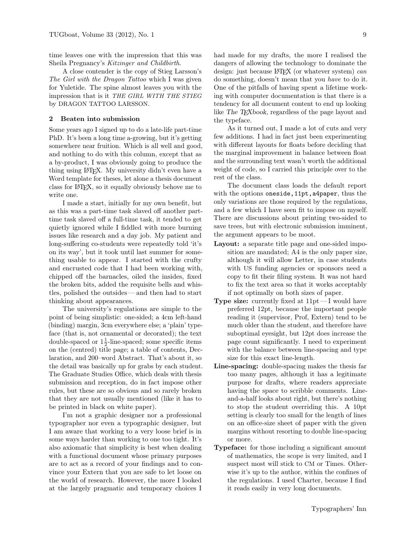time leaves one with the impression that this was Sheila Pregnancy's Kitzinger and Childbirth.

A close contender is the copy of Stieg Larsson's The Girl with the Dragon Tattoo which I was given for Yuletide. The spine almost leaves you with the impression that is it THE GIRL WITH THE STIEG by DRAGON TATTOO LARSSON.

### 2 Beaten into submission

Some years ago I signed up to do a late-life part-time PhD. It's been a long time a-growing, but it's getting somewhere near fruition. Which is all well and good, and nothing to do with this column, except that as a by-product, I was obviously going to produce the thing using LATEX. My university didn't even have a Word template for theses, let alone a thesis document class for LATEX, so it equally obviously behove me to write one.

I made a start, initially for my own benefit, but as this was a part-time task slaved off another parttime task slaved off a full-time task, it tended to get quietly ignored while I fiddled with more burning issues like research and a day job. My patient and long-suffering co-students were repeatedly told 'it's on its way', but it took until last summer for something usable to appear. I started with the crufty and encrusted code that I had been working with, chipped off the barnacles, oiled the insides, fixed the broken bits, added the requisite bells and whistles, polished the outsides— and then had to start thinking about appearances.

The university's regulations are simple to the point of being simplistic: one-sided; a 4cm left-hand (binding) margin, 3cm everywhere else; a 'plain' typeface (that is, not ornamental or decorated); the text double-spaced or  $1\frac{1}{2}$ -line-spaced; some specific items on the (centred) title page; a table of contents, Declaration, and 200–word Abstract. That's about it, so the detail was basically up for grabs by each student. The Graduate Studies Office, which deals with thesis submission and reception, do in fact impose other rules, but these are so obvious and so rarely broken that they are not usually mentioned (like it has to be printed in black on white paper).

I'm not a graphic designer nor a professional typographer nor even a typographic designer, but I am aware that working to a very loose brief is in some ways harder than working to one too tight. It's also axiomatic that simplicity is best when dealing with a functional document whose primary purposes are to act as a record of your findings and to convince your Extern that you are safe to let loose on the world of research. However, the more I looked at the largely pragmatic and temporary choices I

had made for my drafts, the more I realised the dangers of allowing the technology to dominate the design: just because L<sup>A</sup>TEX (or whatever system) can do something, doesn't mean that you have to do it. One of the pitfalls of having spent a lifetime working with computer documentation is that there is a tendency for all document content to end up looking like The TEXbook, regardless of the page layout and the typeface.

As it turned out, I made a lot of cuts and very few additions. I had in fact just been experimenting with different layouts for floats before deciding that the marginal improvement in balance between float and the surrounding text wasn't worth the additional weight of code, so I carried this principle over to the rest of the class.

The document class loads the default report with the options oneside, 11pt, a4paper, thus the only variations are those required by the regulations, and a few which I have seen fit to impose on myself. There are discussions about printing two-sided to save trees, but with electronic submission imminent, the argument appears to be moot.

- Layout: a separate title page and one-sided imposition are mandated; A4 is the only paper size, although it will allow Letter, in case students with US funding agencies or sponsors need a copy to fit their filing system. It was not hard to fix the text area so that it works acceptably if not optimally on both sizes of paper.
- **Type size:** currently fixed at  $11pt-1$  would have preferred 12pt, because the important people reading it (supervisor, Prof, Extern) tend to be much older than the student, and therefore have suboptimal eyesight, but 12pt does increase the page count significantly. I need to experiment with the balance between line-spacing and type size for this exact line-length.
- Line-spacing: double-spacing makes the thesis far too many pages, although it has a legitimate purpose for drafts, where readers appreciate having the space to scribble comments. Lineand-a-half looks about right, but there's nothing to stop the student overriding this. A 10pt setting is clearly too small for the length of lines on an office-size sheet of paper with the given margins without resorting to double line-spacing or more.
- Typeface: for those including a significant amount of mathematics, the scope is very limited, and I suspect most will stick to CM or Times. Otherwise it's up to the author, within the confines of the regulations. I used Charter, because I find it reads easily in very long documents.